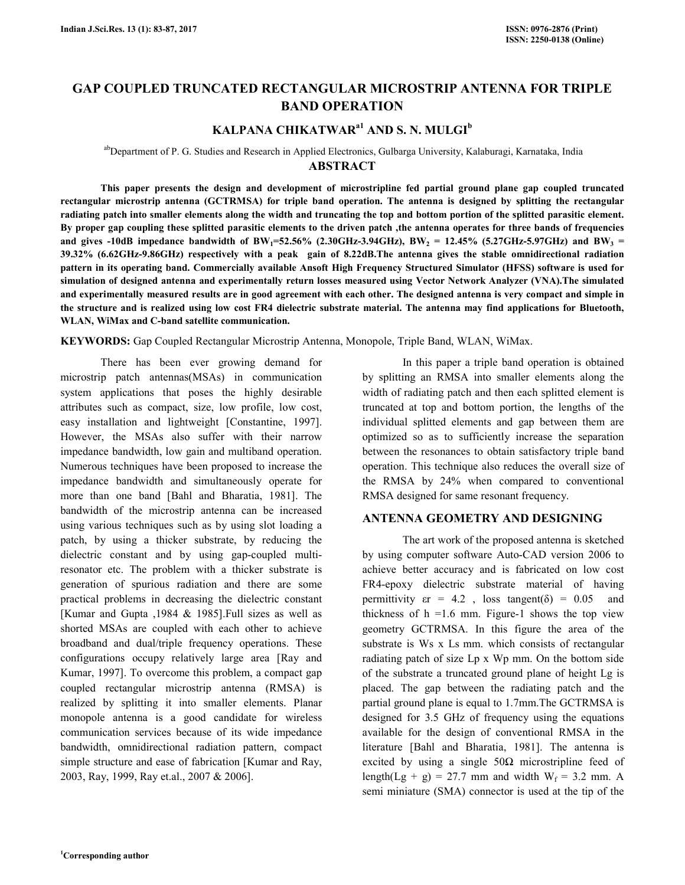# **GAP COUPLED TRUNCATED RECTANGULAR MICROSTRIP ANTENNA FOR TRIPLE BAND OPERATION**

## **KALPANA CHIKATWARa1 AND S. N. MULGI<sup>b</sup>**

## abDepartment of P. G. Studies and Research in Applied Electronics, Gulbarga University, Kalaburagi, Karnataka, India **ABSTRACT**

 **This paper presents the design and development of microstripline fed partial ground plane gap coupled truncated rectangular microstrip antenna (GCTRMSA) for triple band operation. The antenna is designed by splitting the rectangular radiating patch into smaller elements along the width and truncating the top and bottom portion of the splitted parasitic element. By proper gap coupling these splitted parasitic elements to the driven patch ,the antenna operates for three bands of frequencies**  and gives -10dB impedance bandwidth of BW<sub>1</sub>=52.56% (2.30GHz-3.94GHz), BW<sub>2</sub> = 12.45% (5.27GHz-5.97GHz) and BW<sub>3</sub> = **39.32% (6.62GHz-9.86GHz) respectively with a peak gain of 8.22dB.The antenna gives the stable omnidirectional radiation pattern in its operating band. Commercially available Ansoft High Frequency Structured Simulator (HFSS) software is used for simulation of designed antenna and experimentally return losses measured using Vector Network Analyzer (VNA).The simulated and experimentally measured results are in good agreement with each other. The designed antenna is very compact and simple in the structure and is realized using low cost FR4 dielectric substrate material. The antenna may find applications for Bluetooth, WLAN, WiMax and C-band satellite communication.** 

**KEYWORDS:** Gap Coupled Rectangular Microstrip Antenna, Monopole, Triple Band, WLAN, WiMax.

 There has been ever growing demand for microstrip patch antennas(MSAs) in communication system applications that poses the highly desirable attributes such as compact, size, low profile, low cost, easy installation and lightweight [Constantine, 1997]. However, the MSAs also suffer with their narrow impedance bandwidth, low gain and multiband operation. Numerous techniques have been proposed to increase the impedance bandwidth and simultaneously operate for more than one band [Bahl and Bharatia, 1981]. The bandwidth of the microstrip antenna can be increased using various techniques such as by using slot loading a patch, by using a thicker substrate, by reducing the dielectric constant and by using gap-coupled multiresonator etc. The problem with a thicker substrate is generation of spurious radiation and there are some practical problems in decreasing the dielectric constant [Kumar and Gupta ,1984 & 1985].Full sizes as well as shorted MSAs are coupled with each other to achieve broadband and dual/triple frequency operations. These configurations occupy relatively large area [Ray and Kumar, 1997]. To overcome this problem, a compact gap coupled rectangular microstrip antenna (RMSA) is realized by splitting it into smaller elements. Planar monopole antenna is a good candidate for wireless communication services because of its wide impedance bandwidth, omnidirectional radiation pattern, compact simple structure and ease of fabrication [Kumar and Ray, 2003, Ray, 1999, Ray et.al., 2007 & 2006].

 In this paper a triple band operation is obtained by splitting an RMSA into smaller elements along the width of radiating patch and then each splitted element is truncated at top and bottom portion, the lengths of the individual splitted elements and gap between them are optimized so as to sufficiently increase the separation between the resonances to obtain satisfactory triple band operation. This technique also reduces the overall size of the RMSA by 24% when compared to conventional RMSA designed for same resonant frequency.

## **ANTENNA GEOMETRY AND DESIGNING**

 The art work of the proposed antenna is sketched by using computer software Auto-CAD version 2006 to achieve better accuracy and is fabricated on low cost FR4-epoxy dielectric substrate material of having permittivity  $\epsilon r = 4.2$ , loss tangent( $\delta$ ) = 0.05 and thickness of  $h = 1.6$  mm. Figure-1 shows the top view geometry GCTRMSA. In this figure the area of the substrate is Ws x Ls mm. which consists of rectangular radiating patch of size Lp x Wp mm. On the bottom side of the substrate a truncated ground plane of height Lg is placed. The gap between the radiating patch and the partial ground plane is equal to 1.7mm.The GCTRMSA is designed for 3.5 GHz of frequency using the equations available for the design of conventional RMSA in the literature [Bahl and Bharatia, 1981]. The antenna is excited by using a single  $50\Omega$  microstripline feed of length(Lg + g) = 27.7 mm and width  $W_f$  = 3.2 mm. A semi miniature (SMA) connector is used at the tip of the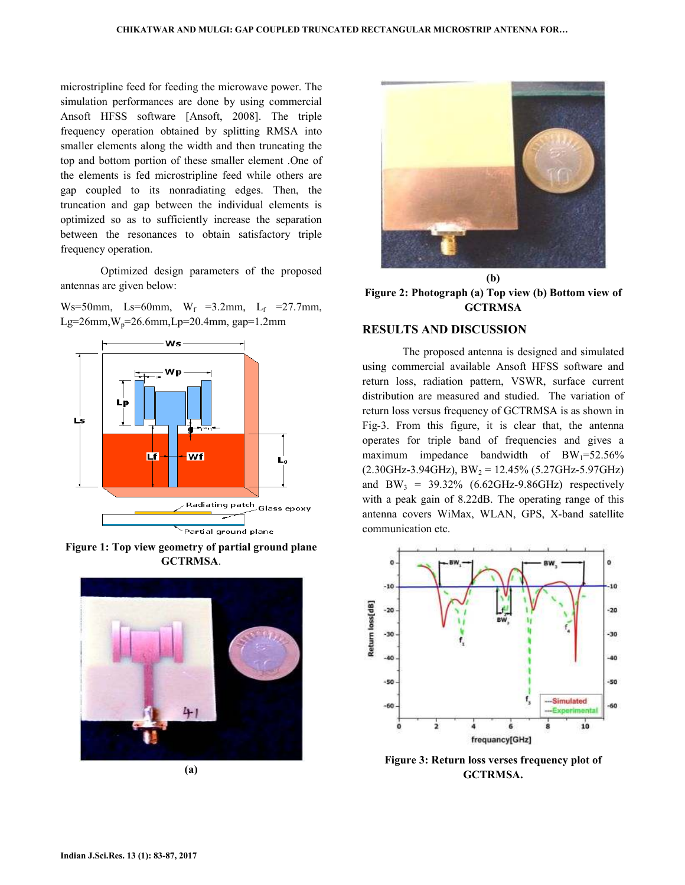microstripline feed for feeding the microwave power. The simulation performances are done by using commercial Ansoft HFSS software [Ansoft, 2008]. The triple frequency operation obtained by splitting RMSA into smaller elements along the width and then truncating the top and bottom portion of these smaller element .One of the elements is fed microstripline feed while others are gap coupled to its nonradiating edges. Then, the truncation and gap between the individual elements is optimized so as to sufficiently increase the separation between the resonances to obtain satisfactory triple frequency operation.

 Optimized design parameters of the proposed antennas are given below:

Ws=50mm, Ls=60mm,  $W_f$  =3.2mm, L<sub>f</sub> =27.7mm, Lg=26mm,  $W_p$ =26.6mm, Lp=20.4mm, gap=1.2mm



**Figure 1: Top view geometry of partial ground plane GCTRMSA**.



**(a)** 



**Figure 2: Photograph (a) Top view (b) Bottom view of GCTRMSA** 

## **RESULTS AND DISCUSSION**

 The proposed antenna is designed and simulated using commercial available Ansoft HFSS software and return loss, radiation pattern, VSWR, surface current distribution are measured and studied. The variation of return loss versus frequency of GCTRMSA is as shown in Fig-3. From this figure, it is clear that, the antenna operates for triple band of frequencies and gives a maximum impedance bandwidth of  $BW_1=52.56\%$  $(2.30\text{GHz}-3.94\text{GHz})$ , BW<sub>2</sub> = 12.45% (5.27GHz-5.97GHz) and BW<sub>3</sub> = 39.32% (6.62GHz-9.86GHz) respectively with a peak gain of 8.22dB. The operating range of this antenna covers WiMax, WLAN, GPS, X-band satellite communication etc.



**Figure 3: Return loss verses frequency plot of GCTRMSA.**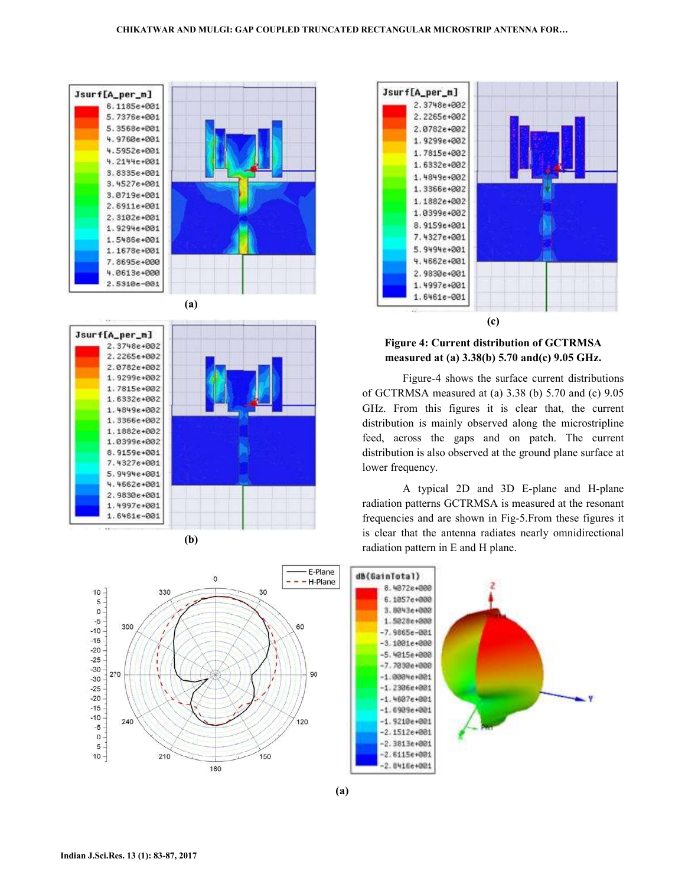



**(b)** 



## **Figure 4: Current distribution of GCTRMSA measured at (a) 3.38(b) 5.70 and(c) 9.05 GHz.**

 Figure-4 shows the surface current distributions of GCTRMSA measured at (a) 3.38 (b) 5.70 and (c) 9.05 GHz. From this figures it is clear that, the current distribution is mainly observed along the microstripline feed, across the gaps and on patch. The current distribution is also observed at the ground plane surface at lower frequency.

 A typical 2D and 3D E-plane and H-plane radiation patterns GCTRMSA is measured at the resonant frequencies and are shown in Fig-5.From these figures it is clear that the antenna radiates nearly omnidirectional radiation pattern in E and H plane.

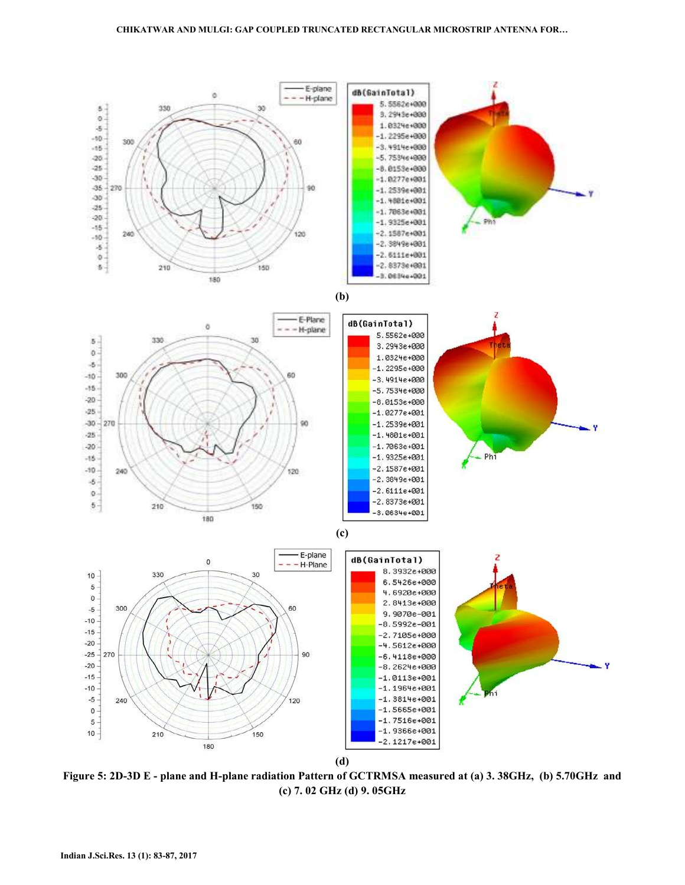

**Figure 5: 2D-3D E - plane and H-plane radiation Pattern of GCTRMSA measured at (a) 3. 38GHz, (b) 5.70GHz and (c) 7. 02 GHz (d) 9. 05GHz**